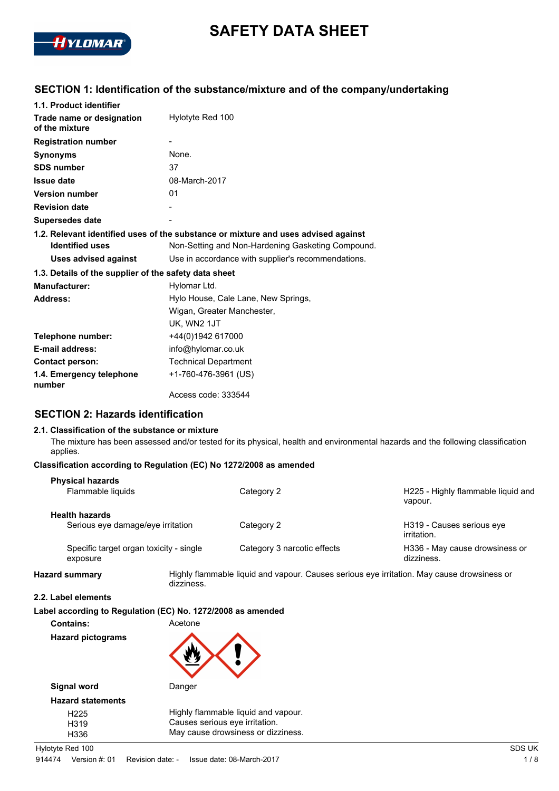

# **SAFETY DATA SHEET**

# **SECTION 1: Identification of the substance/mixture and of the company/undertaking**

| 1.1. Product identifier                                                            |                                                    |  |  |
|------------------------------------------------------------------------------------|----------------------------------------------------|--|--|
| Trade name or designation<br>of the mixture                                        | Hylotyte Red 100                                   |  |  |
| <b>Registration number</b>                                                         |                                                    |  |  |
| <b>Synonyms</b>                                                                    | None.                                              |  |  |
| <b>SDS number</b>                                                                  | 37                                                 |  |  |
| <b>Issue date</b>                                                                  | 08-March-2017                                      |  |  |
| <b>Version number</b>                                                              | 01                                                 |  |  |
| <b>Revision date</b>                                                               |                                                    |  |  |
| <b>Supersedes date</b>                                                             |                                                    |  |  |
| 1.2. Relevant identified uses of the substance or mixture and uses advised against |                                                    |  |  |
| <b>Identified uses</b>                                                             | Non-Setting and Non-Hardening Gasketing Compound.  |  |  |
| Uses advised against                                                               | Use in accordance with supplier's recommendations. |  |  |
| 1.3. Details of the supplier of the safety data sheet                              |                                                    |  |  |
| <b>Manufacturer:</b>                                                               | Hylomar Ltd.                                       |  |  |
| Address:                                                                           | Hylo House, Cale Lane, New Springs,                |  |  |
|                                                                                    | Wigan, Greater Manchester,                         |  |  |
|                                                                                    | UK, WN2 1JT                                        |  |  |
| +44(0)1942 617000<br>Telephone number:                                             |                                                    |  |  |
| E-mail address:                                                                    | info@hylomar.co.uk                                 |  |  |
| <b>Contact person:</b>                                                             | <b>Technical Department</b>                        |  |  |
| 1.4. Emergency telephone<br>number                                                 | +1-760-476-3961 (US)                               |  |  |
|                                                                                    | Access code: 333544                                |  |  |

## **SECTION 2: Hazards identification**

#### **2.1. Classification of the substance or mixture**

The mixture has been assessed and/or tested for its physical, health and environmental hazards and the following classification applies.

#### **Classification according to Regulation (EC) No 1272/2008 as amended**

| <b>Physical hazards</b><br>Flammable liquids               |            | Category 2                                                                                 | H225 - Highly flammable liquid and<br>vapour.               |
|------------------------------------------------------------|------------|--------------------------------------------------------------------------------------------|-------------------------------------------------------------|
| <b>Health hazards</b><br>Serious eye damage/eye irritation |            | Category 2                                                                                 | H319 - Causes serious eye                                   |
| Specific target organ toxicity - single<br>exposure        |            | Category 3 narcotic effects                                                                | irritation.<br>H336 - May cause drowsiness or<br>dizziness. |
| <b>Hazard summary</b>                                      | dizziness. | Highly flammable liquid and vapour. Causes serious eye irritation. May cause drowsiness or |                                                             |

#### **2.2. Label elements**

**Label according to Regulation (EC) No. 1272/2008 as amended**

**Contains:** Acetone

| Hazard pictograms |
|-------------------|
|                   |

| Signal word              | Danger                              |
|--------------------------|-------------------------------------|
| <b>Hazard statements</b> |                                     |
| H <sub>225</sub>         | Highly flammable liquid and vapour. |
| H <sub>319</sub>         | Causes serious eye irritation.      |
| H336                     | May cause drowsiness or dizziness.  |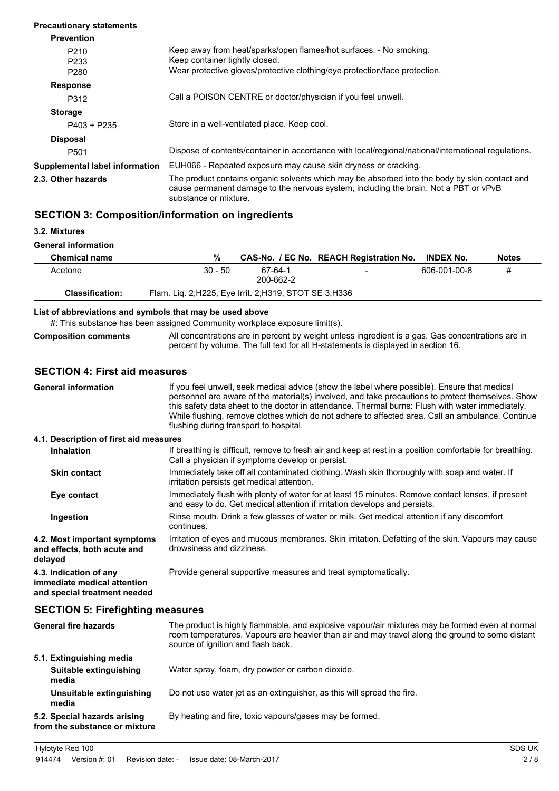| <b>Precautionary statements</b>               |                                                                                                                                                                                                                |
|-----------------------------------------------|----------------------------------------------------------------------------------------------------------------------------------------------------------------------------------------------------------------|
| <b>Prevention</b>                             |                                                                                                                                                                                                                |
| P <sub>210</sub><br>P <sub>2</sub> 33<br>P280 | Keep away from heat/sparks/open flames/hot surfaces. - No smoking.<br>Keep container tightly closed.<br>Wear protective gloves/protective clothing/eye protection/face protection.                             |
| <b>Response</b>                               |                                                                                                                                                                                                                |
| P312                                          | Call a POISON CENTRE or doctor/physician if you feel unwell.                                                                                                                                                   |
| <b>Storage</b>                                |                                                                                                                                                                                                                |
| P403 + P235                                   | Store in a well-ventilated place. Keep cool.                                                                                                                                                                   |
| <b>Disposal</b>                               |                                                                                                                                                                                                                |
| P <sub>501</sub>                              | Dispose of contents/container in accordance with local/regional/national/international regulations.                                                                                                            |
| Supplemental label information                | EUH066 - Repeated exposure may cause skin dryness or cracking.                                                                                                                                                 |
| 2.3. Other hazards                            | The product contains organic solvents which may be absorbed into the body by skin contact and<br>cause permanent damage to the nervous system, including the brain. Not a PBT or vPvB<br>substance or mixture. |

# **SECTION 3: Composition/information on ingredients**

**3.2. Mixtures**

**General information**

| <b>Chemical name</b>   | %                                                    |                      | CAS-No. / EC No. REACH Registration No. INDEX No. |              | <b>Notes</b> |
|------------------------|------------------------------------------------------|----------------------|---------------------------------------------------|--------------|--------------|
| Acetone                | $30 - 50$                                            | 67-64-1<br>200-662-2 |                                                   | 606-001-00-8 | #            |
| <b>Classification:</b> | Flam. Liq. 2;H225, Eye Irrit. 2;H319, STOT SE 3;H336 |                      |                                                   |              |              |

#### **List of abbreviations and symbols that may be used above**

#: This substance has been assigned Community workplace exposure limit(s).

All concentrations are in percent by weight unless ingredient is a gas. Gas concentrations are in percent by volume. The full text for all H-statements is displayed in section 16. **Composition comments**

#### **SECTION 4: First aid measures**

| <b>General information</b>                                                            | If you feel unwell, seek medical advice (show the label where possible). Ensure that medical<br>personnel are aware of the material(s) involved, and take precautions to protect themselves. Show<br>this safety data sheet to the doctor in attendance. Thermal burns: Flush with water immediately.<br>While flushing, remove clothes which do not adhere to affected area. Call an ambulance. Continue<br>flushing during transport to hospital. |  |  |
|---------------------------------------------------------------------------------------|-----------------------------------------------------------------------------------------------------------------------------------------------------------------------------------------------------------------------------------------------------------------------------------------------------------------------------------------------------------------------------------------------------------------------------------------------------|--|--|
| 4.1. Description of first aid measures                                                |                                                                                                                                                                                                                                                                                                                                                                                                                                                     |  |  |
| <b>Inhalation</b>                                                                     | If breathing is difficult, remove to fresh air and keep at rest in a position comfortable for breathing.<br>Call a physician if symptoms develop or persist.                                                                                                                                                                                                                                                                                        |  |  |
| <b>Skin contact</b>                                                                   | Immediately take off all contaminated clothing. Wash skin thoroughly with soap and water. If<br>irritation persists get medical attention.                                                                                                                                                                                                                                                                                                          |  |  |
| Eye contact                                                                           | Immediately flush with plenty of water for at least 15 minutes. Remove contact lenses, if present<br>and easy to do. Get medical attention if irritation develops and persists.                                                                                                                                                                                                                                                                     |  |  |
| Ingestion                                                                             | Rinse mouth. Drink a few glasses of water or milk. Get medical attention if any discomfort<br>continues.                                                                                                                                                                                                                                                                                                                                            |  |  |
| 4.2. Most important symptoms<br>and effects, both acute and<br>delayed                | Irritation of eyes and mucous membranes. Skin irritation. Defatting of the skin. Vapours may cause<br>drowsiness and dizziness.                                                                                                                                                                                                                                                                                                                     |  |  |
| 4.3. Indication of any<br>immediate medical attention<br>and special treatment needed | Provide general supportive measures and treat symptomatically.                                                                                                                                                                                                                                                                                                                                                                                      |  |  |
| <b>SECTION 5: Firefighting measures</b>                                               |                                                                                                                                                                                                                                                                                                                                                                                                                                                     |  |  |

| <b>General fire hazards</b>                                   | The product is highly flammable, and explosive vapour/air mixtures may be formed even at normal<br>room temperatures. Vapours are heavier than air and may travel along the ground to some distant<br>source of ignition and flash back. |
|---------------------------------------------------------------|------------------------------------------------------------------------------------------------------------------------------------------------------------------------------------------------------------------------------------------|
| 5.1. Extinguishing media                                      |                                                                                                                                                                                                                                          |
| Suitable extinguishing<br>media                               | Water spray, foam, dry powder or carbon dioxide.                                                                                                                                                                                         |
| Unsuitable extinguishing<br>media                             | Do not use water jet as an extinguisher, as this will spread the fire.                                                                                                                                                                   |
| 5.2. Special hazards arising<br>from the substance or mixture | By heating and fire, toxic vapours/gases may be formed.                                                                                                                                                                                  |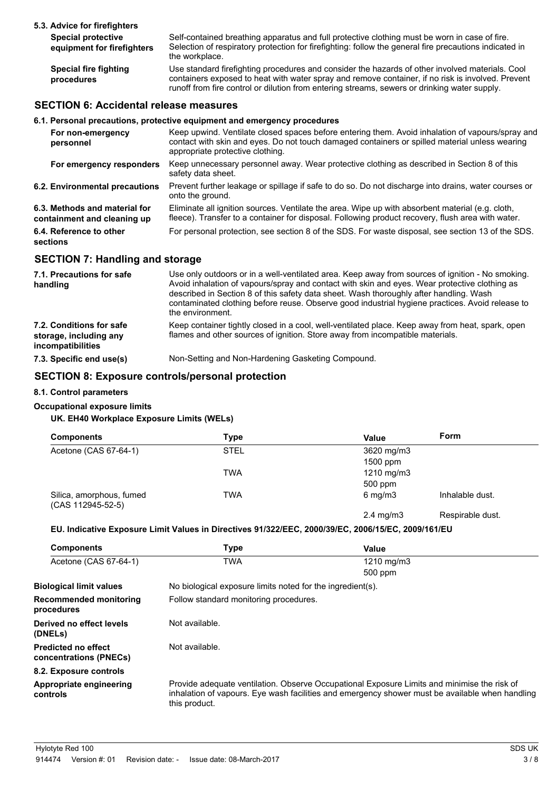| 5.3. Advice for firefighters                            |                                                                                                                                                                                                                                                                                                      |
|---------------------------------------------------------|------------------------------------------------------------------------------------------------------------------------------------------------------------------------------------------------------------------------------------------------------------------------------------------------------|
| <b>Special protective</b><br>equipment for firefighters | Self-contained breathing apparatus and full protective clothing must be worn in case of fire.<br>Selection of respiratory protection for firefighting: follow the general fire precautions indicated in<br>the workplace.                                                                            |
| <b>Special fire fighting</b><br>procedures              | Use standard firefighting procedures and consider the hazards of other involved materials. Cool<br>containers exposed to heat with water spray and remove container, if no risk is involved. Prevent<br>runoff from fire control or dilution from entering streams, sewers or drinking water supply. |

# **SECTION 6: Accidental release measures**

#### **6.1. Personal precautions, protective equipment and emergency procedures**

| For non-emergency<br>personnel                               | Keep upwind. Ventilate closed spaces before entering them. Avoid inhalation of vapours/spray and<br>contact with skin and eyes. Do not touch damaged containers or spilled material unless wearing<br>appropriate protective clothing. |
|--------------------------------------------------------------|----------------------------------------------------------------------------------------------------------------------------------------------------------------------------------------------------------------------------------------|
| For emergency responders                                     | Keep unnecessary personnel away. Wear protective clothing as described in Section 8 of this<br>safety data sheet.                                                                                                                      |
| 6.2. Environmental precautions                               | Prevent further leakage or spillage if safe to do so. Do not discharge into drains, water courses or<br>onto the ground.                                                                                                               |
| 6.3. Methods and material for<br>containment and cleaning up | Eliminate all ignition sources. Ventilate the area. Wipe up with absorbent material (e.g. cloth,<br>fleece). Transfer to a container for disposal. Following product recovery, flush area with water.                                  |
| 6.4. Reference to other<br>sections                          | For personal protection, see section 8 of the SDS. For waste disposal, see section 13 of the SDS.                                                                                                                                      |
|                                                              |                                                                                                                                                                                                                                        |

## **SECTION 7: Handling and storage**

| 7.1. Precautions for safe<br>handling                                   | Use only outdoors or in a well-ventilated area. Keep away from sources of ignition - No smoking.<br>Avoid inhalation of vapours/spray and contact with skin and eyes. Wear protective clothing as<br>described in Section 8 of this safety data sheet. Wash thoroughly after handling. Wash<br>contaminated clothing before reuse. Observe good industrial hygiene practices. Avoid release to<br>the environment. |
|-------------------------------------------------------------------------|--------------------------------------------------------------------------------------------------------------------------------------------------------------------------------------------------------------------------------------------------------------------------------------------------------------------------------------------------------------------------------------------------------------------|
| 7.2. Conditions for safe<br>storage, including any<br>incompatibilities | Keep container tightly closed in a cool, well-ventilated place. Keep away from heat, spark, open<br>flames and other sources of ignition. Store away from incompatible materials.                                                                                                                                                                                                                                  |
| 7.3. Specific end use(s)                                                | Non-Setting and Non-Hardening Gasketing Compound.                                                                                                                                                                                                                                                                                                                                                                  |

### **SECTION 8: Exposure controls/personal protection**

#### **8.1. Control parameters**

#### **Occupational exposure limits**

## **UK. EH40 Workplace Exposure Limits (WELs)**

| <b>Components</b>                             | Type       | Value              | Form             |
|-----------------------------------------------|------------|--------------------|------------------|
| Acetone (CAS 67-64-1)                         | STEL       | 3620 mg/m3         |                  |
|                                               |            | 1500 ppm           |                  |
|                                               | <b>TWA</b> | 1210 mg/m3         |                  |
|                                               |            | 500 ppm            |                  |
| Silica, amorphous, fumed<br>(CAS 112945-52-5) | TWA        | $6 \text{ mg/m}$ 3 | Inhalable dust.  |
|                                               |            | $2.4 \text{ mg/m}$ | Respirable dust. |

#### **EU. Indicative Exposure Limit Values in Directives 91/322/EEC, 2000/39/EC, 2006/15/EC, 2009/161/EU**

| <b>Components</b>                                    | <b>Type</b>                                                                                                                                                                                                     | Value      |
|------------------------------------------------------|-----------------------------------------------------------------------------------------------------------------------------------------------------------------------------------------------------------------|------------|
| Acetone (CAS 67-64-1)                                | <b>TWA</b>                                                                                                                                                                                                      | 1210 mg/m3 |
|                                                      |                                                                                                                                                                                                                 | 500 ppm    |
| <b>Biological limit values</b>                       | No biological exposure limits noted for the ingredient(s).                                                                                                                                                      |            |
| Recommended monitoring<br>procedures                 | Follow standard monitoring procedures.                                                                                                                                                                          |            |
| Derived no effect levels<br>(DNELs)                  | Not available.                                                                                                                                                                                                  |            |
| <b>Predicted no effect</b><br>concentrations (PNECs) | Not available.                                                                                                                                                                                                  |            |
| 8.2. Exposure controls                               |                                                                                                                                                                                                                 |            |
| Appropriate engineering<br>controls                  | Provide adequate ventilation. Observe Occupational Exposure Limits and minimise the risk of<br>inhalation of vapours. Eye wash facilities and emergency shower must be available when handling<br>this product. |            |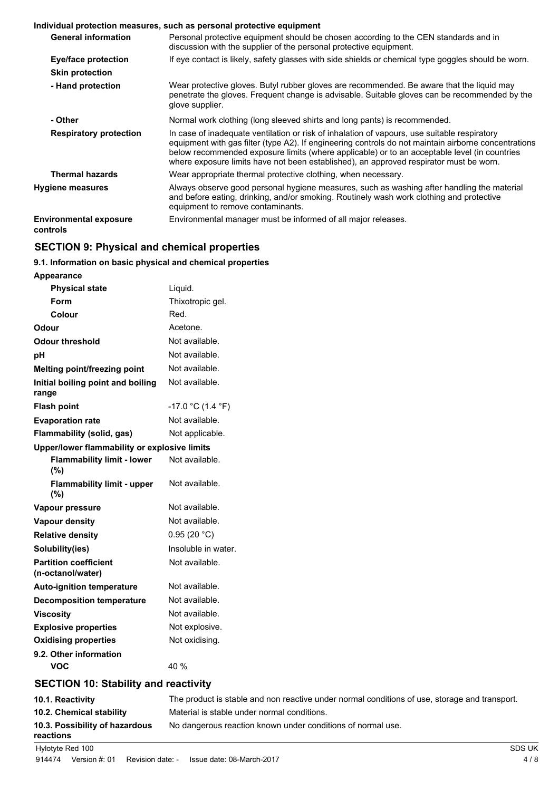#### **Individual protection measures, such as personal protective equipment**

|                                           | <u>Municipal protection measures, such as personal protective equipment</u>                                                                                                                                                                                                                                                                                                                    |
|-------------------------------------------|------------------------------------------------------------------------------------------------------------------------------------------------------------------------------------------------------------------------------------------------------------------------------------------------------------------------------------------------------------------------------------------------|
| <b>General information</b>                | Personal protective equipment should be chosen according to the CEN standards and in<br>discussion with the supplier of the personal protective equipment.                                                                                                                                                                                                                                     |
| Eye/face protection                       | If eye contact is likely, safety glasses with side shields or chemical type goggles should be worn.                                                                                                                                                                                                                                                                                            |
| <b>Skin protection</b>                    |                                                                                                                                                                                                                                                                                                                                                                                                |
| - Hand protection                         | Wear protective gloves. Butyl rubber gloves are recommended. Be aware that the liquid may<br>penetrate the gloves. Frequent change is advisable. Suitable gloves can be recommended by the<br>glove supplier.                                                                                                                                                                                  |
| - Other                                   | Normal work clothing (long sleeved shirts and long pants) is recommended.                                                                                                                                                                                                                                                                                                                      |
| <b>Respiratory protection</b>             | In case of inadequate ventilation or risk of inhalation of vapours, use suitable respiratory<br>equipment with gas filter (type A2). If engineering controls do not maintain airborne concentrations<br>below recommended exposure limits (where applicable) or to an acceptable level (in countries<br>where exposure limits have not been established), an approved respirator must be worn. |
| <b>Thermal hazards</b>                    | Wear appropriate thermal protective clothing, when necessary.                                                                                                                                                                                                                                                                                                                                  |
| <b>Hygiene measures</b>                   | Always observe good personal hygiene measures, such as washing after handling the material<br>and before eating, drinking, and/or smoking. Routinely wash work clothing and protective<br>equipment to remove contaminants.                                                                                                                                                                    |
| <b>Environmental exposure</b><br>controls | Environmental manager must be informed of all major releases.                                                                                                                                                                                                                                                                                                                                  |

# **SECTION 9: Physical and chemical properties**

#### **9.1. Information on basic physical and chemical properties**

| Appearance                                        |                     |
|---------------------------------------------------|---------------------|
| <b>Physical state</b>                             | Liquid.             |
| <b>Form</b>                                       | Thixotropic gel.    |
| Colour                                            | Red.                |
| Odour                                             | Acetone.            |
| <b>Odour threshold</b>                            | Not available.      |
| рH                                                | Not available.      |
| <b>Melting point/freezing point</b>               | Not available.      |
| Initial boiling point and boiling<br>range        | Not available.      |
| <b>Flash point</b>                                | $-17.0$ °C (1.4 °F) |
| <b>Evaporation rate</b>                           | Not available.      |
| Flammability (solid, gas)                         | Not applicable.     |
| Upper/lower flammability or explosive limits      |                     |
| <b>Flammability limit - lower</b><br>(%)          | Not available.      |
| <b>Flammability limit - upper</b><br>(%)          | Not available.      |
| Vapour pressure                                   | Not available.      |
| <b>Vapour density</b>                             | Not available.      |
| <b>Relative density</b>                           | 0.95(20 °C)         |
| Solubility(ies)                                   | Insoluble in water. |
| <b>Partition coefficient</b><br>(n-octanol/water) | Not available.      |
| <b>Auto-ignition temperature</b>                  | Not available.      |
| <b>Decomposition temperature</b>                  | Not available.      |
| <b>Viscosity</b>                                  | Not available.      |
| <b>Explosive properties</b>                       | Not explosive.      |
| <b>Oxidising properties</b>                       | Not oxidising.      |
| 9.2. Other information<br>VOC                     | 40 %                |
| <b>SECTION 10: Stability and reactivity</b>       |                     |
|                                                   |                     |

# **10.1. Reactivity** The product is stable and non reactive under normal conditions of use, storage and transport. **10.2. Chemical stability** Material is stable under normal conditions. 10.3. Possibility of hazardous No dangerous reaction known under conditions of normal use. **reactions** Hylotyte Red 100 SDS UK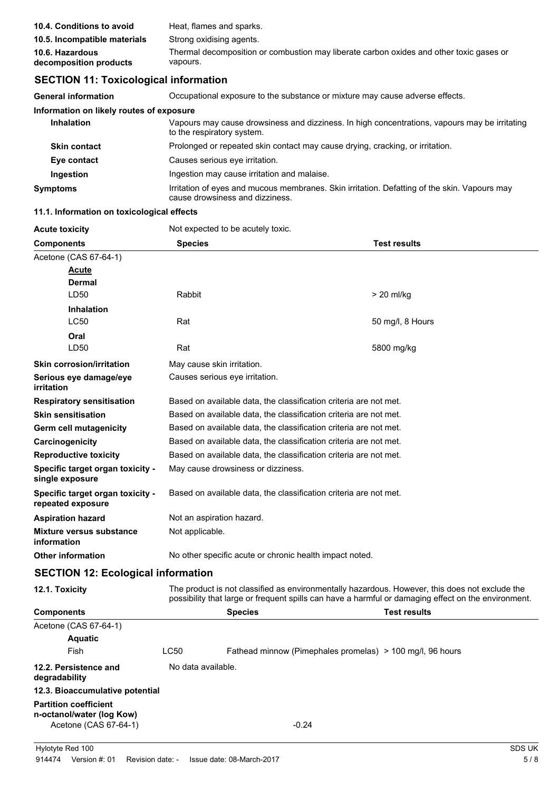| 10.4. Conditions to avoid                 | Heat, flames and sparks.                                                                            |
|-------------------------------------------|-----------------------------------------------------------------------------------------------------|
| 10.5. Incompatible materials              | Strong oxidising agents.                                                                            |
| 10.6. Hazardous<br>decomposition products | Thermal decomposition or combustion may liberate carbon oxides and other toxic gases or<br>vapours. |

# **SECTION 11: Toxicological information**

**General information** Occupational exposure to the substance or mixture may cause adverse effects.

| Information on likely routes of exposure |                                                                                                                                 |
|------------------------------------------|---------------------------------------------------------------------------------------------------------------------------------|
| <b>Inhalation</b>                        | Vapours may cause drowsiness and dizziness. In high concentrations, vapours may be irritating<br>to the respiratory system.     |
| <b>Skin contact</b>                      | Prolonged or repeated skin contact may cause drying, cracking, or irritation.                                                   |
| Eye contact                              | Causes serious eve irritation.                                                                                                  |
| Ingestion                                | Ingestion may cause irritation and malaise.                                                                                     |
| <b>Symptoms</b>                          | Irritation of eyes and mucous membranes. Skin irritation. Defatting of the skin. Vapours may<br>cause drowsiness and dizziness. |

#### **11.1. Information on toxicological effects**

| <b>Acute toxicity</b>                                                              |                                                                                                                                                                                                       | Not expected to be acutely toxic.                                 |                                                                   |
|------------------------------------------------------------------------------------|-------------------------------------------------------------------------------------------------------------------------------------------------------------------------------------------------------|-------------------------------------------------------------------|-------------------------------------------------------------------|
| <b>Components</b>                                                                  | <b>Species</b>                                                                                                                                                                                        |                                                                   | <b>Test results</b>                                               |
| Acetone (CAS 67-64-1)                                                              |                                                                                                                                                                                                       |                                                                   |                                                                   |
| Acute                                                                              |                                                                                                                                                                                                       |                                                                   |                                                                   |
| Dermal                                                                             |                                                                                                                                                                                                       |                                                                   |                                                                   |
| LD50                                                                               | Rabbit                                                                                                                                                                                                |                                                                   | $> 20$ ml/kg                                                      |
| <b>Inhalation</b>                                                                  |                                                                                                                                                                                                       |                                                                   |                                                                   |
| <b>LC50</b>                                                                        | Rat                                                                                                                                                                                                   |                                                                   | 50 mg/l, 8 Hours                                                  |
| Oral                                                                               |                                                                                                                                                                                                       |                                                                   |                                                                   |
| LD50                                                                               | Rat                                                                                                                                                                                                   |                                                                   | 5800 mg/kg                                                        |
| <b>Skin corrosion/irritation</b>                                                   | May cause skin irritation.                                                                                                                                                                            |                                                                   |                                                                   |
| Serious eye damage/eye<br><i>irritation</i>                                        |                                                                                                                                                                                                       | Causes serious eye irritation.                                    |                                                                   |
| <b>Respiratory sensitisation</b>                                                   |                                                                                                                                                                                                       |                                                                   | Based on available data, the classification criteria are not met. |
| <b>Skin sensitisation</b>                                                          |                                                                                                                                                                                                       |                                                                   | Based on available data, the classification criteria are not met. |
| Germ cell mutagenicity                                                             |                                                                                                                                                                                                       |                                                                   | Based on available data, the classification criteria are not met. |
| Carcinogenicity                                                                    |                                                                                                                                                                                                       | Based on available data, the classification criteria are not met. |                                                                   |
| <b>Reproductive toxicity</b>                                                       | Based on available data, the classification criteria are not met.                                                                                                                                     |                                                                   |                                                                   |
| Specific target organ toxicity -<br>single exposure                                |                                                                                                                                                                                                       | May cause drowsiness or dizziness.                                |                                                                   |
| Specific target organ toxicity -<br>repeated exposure                              |                                                                                                                                                                                                       |                                                                   | Based on available data, the classification criteria are not met. |
| <b>Aspiration hazard</b>                                                           | Not an aspiration hazard.                                                                                                                                                                             |                                                                   |                                                                   |
| Mixture versus substance<br>information                                            | Not applicable.                                                                                                                                                                                       |                                                                   |                                                                   |
| <b>Other information</b>                                                           | No other specific acute or chronic health impact noted.                                                                                                                                               |                                                                   |                                                                   |
| <b>SECTION 12: Ecological information</b>                                          |                                                                                                                                                                                                       |                                                                   |                                                                   |
| 12.1. Toxicity                                                                     | The product is not classified as environmentally hazardous. However, this does not exclude the<br>possibility that large or frequent spills can have a harmful or damaging effect on the environment. |                                                                   |                                                                   |
| <b>Components</b>                                                                  |                                                                                                                                                                                                       | <b>Species</b>                                                    | <b>Test results</b>                                               |
| Acetone (CAS 67-64-1)                                                              |                                                                                                                                                                                                       |                                                                   |                                                                   |
| <b>Aquatic</b>                                                                     |                                                                                                                                                                                                       |                                                                   |                                                                   |
| Fish                                                                               | <b>LC50</b>                                                                                                                                                                                           |                                                                   | Fathead minnow (Pimephales promelas) > 100 mg/l, 96 hours         |
| 12.2. Persistence and<br>degradability                                             | No data available.                                                                                                                                                                                    |                                                                   |                                                                   |
| 12.3. Bioaccumulative potential                                                    |                                                                                                                                                                                                       |                                                                   |                                                                   |
| <b>Partition coefficient</b><br>n-octanol/water (log Kow)<br>Acetone (CAS 67-64-1) |                                                                                                                                                                                                       |                                                                   | $-0.24$                                                           |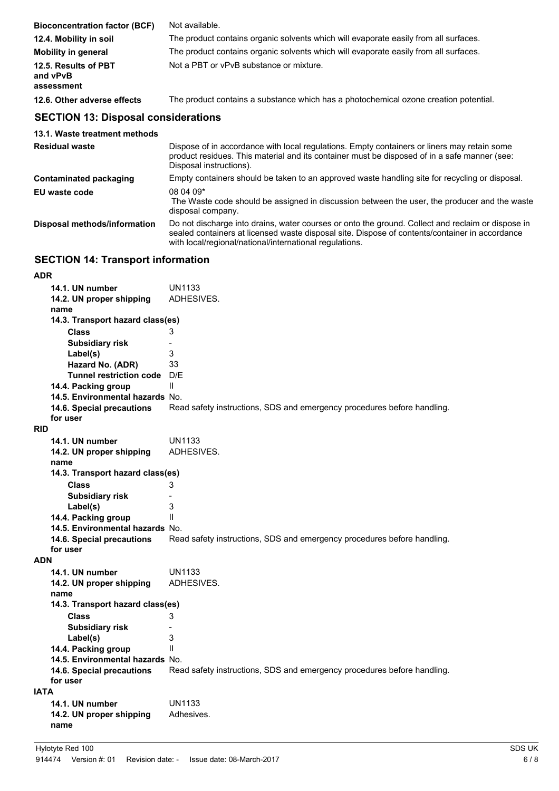| <b>Bioconcentration factor (BCF)</b>           | Not available.                                                                       |
|------------------------------------------------|--------------------------------------------------------------------------------------|
| 12.4. Mobility in soil                         | The product contains organic solvents which will evaporate easily from all surfaces. |
| <b>Mobility in general</b>                     | The product contains organic solvents which will evaporate easily from all surfaces. |
| 12.5. Results of PBT<br>and vPvB<br>assessment | Not a PBT or vPvB substance or mixture.                                              |
| 12.6. Other adverse effects                    | The product contains a substance which has a photochemical ozone creation potential. |

# **SECTION 13: Disposal considerations**

| 13.1. Waste treatment methods |                                                                                                                                                                                                                                                                |
|-------------------------------|----------------------------------------------------------------------------------------------------------------------------------------------------------------------------------------------------------------------------------------------------------------|
| <b>Residual waste</b>         | Dispose of in accordance with local regulations. Empty containers or liners may retain some<br>product residues. This material and its container must be disposed of in a safe manner (see:<br>Disposal instructions).                                         |
| Contaminated packaging        | Empty containers should be taken to an approved waste handling site for recycling or disposal.                                                                                                                                                                 |
| EU waste code                 | 08 04 09*<br>The Waste code should be assigned in discussion between the user, the producer and the waste<br>disposal company.                                                                                                                                 |
| Disposal methods/information  | Do not discharge into drains, water courses or onto the ground. Collect and reclaim or dispose in<br>sealed containers at licensed waste disposal site. Dispose of contents/container in accordance<br>with local/regional/national/international regulations. |

# **SECTION 14: Transport information**

|             | 14.1. UN number                  | UN1133                                                                  |
|-------------|----------------------------------|-------------------------------------------------------------------------|
|             | 14.2. UN proper shipping         | ADHESIVES.                                                              |
|             | name                             |                                                                         |
|             | 14.3. Transport hazard class(es) |                                                                         |
|             | <b>Class</b>                     | 3                                                                       |
|             | <b>Subsidiary risk</b>           | $\overline{\phantom{a}}$                                                |
|             | Label(s)                         | 3                                                                       |
|             | Hazard No. (ADR)                 | 33                                                                      |
|             | <b>Tunnel restriction code</b>   | D/E                                                                     |
|             | 14.4. Packing group              | $\mathbf{H}$                                                            |
|             | 14.5. Environmental hazards No.  |                                                                         |
|             | 14.6. Special precautions        | Read safety instructions, SDS and emergency procedures before handling. |
|             | for user                         |                                                                         |
| <b>RID</b>  |                                  |                                                                         |
|             | 14.1. UN number                  | <b>UN1133</b>                                                           |
|             | 14.2. UN proper shipping         | ADHESIVES.                                                              |
|             | name                             |                                                                         |
|             | 14.3. Transport hazard class(es) |                                                                         |
|             | <b>Class</b>                     | 3                                                                       |
|             | <b>Subsidiary risk</b>           | $\overline{a}$                                                          |
|             | Label(s)                         | 3                                                                       |
|             | 14.4. Packing group              | $\mathbf{I}$                                                            |
|             | 14.5. Environmental hazards No.  |                                                                         |
|             | 14.6. Special precautions        | Read safety instructions, SDS and emergency procedures before handling. |
|             | for user                         |                                                                         |
| <b>ADN</b>  |                                  |                                                                         |
|             | 14.1. UN number                  | <b>UN1133</b>                                                           |
|             | 14.2. UN proper shipping         | ADHESIVES.                                                              |
|             | name                             |                                                                         |
|             | 14.3. Transport hazard class(es) |                                                                         |
|             | <b>Class</b>                     | 3                                                                       |
|             | <b>Subsidiary risk</b>           |                                                                         |
|             | Label(s)                         | 3                                                                       |
|             | 14.4. Packing group              | Ш                                                                       |
|             | 14.5. Environmental hazards No.  |                                                                         |
|             | 14.6. Special precautions        | Read safety instructions, SDS and emergency procedures before handling. |
|             | for user                         |                                                                         |
| <b>IATA</b> |                                  |                                                                         |
|             | 14.1. UN number                  | UN1133                                                                  |
|             | 14.2. UN proper shipping         | Adhesives.                                                              |
|             | name                             |                                                                         |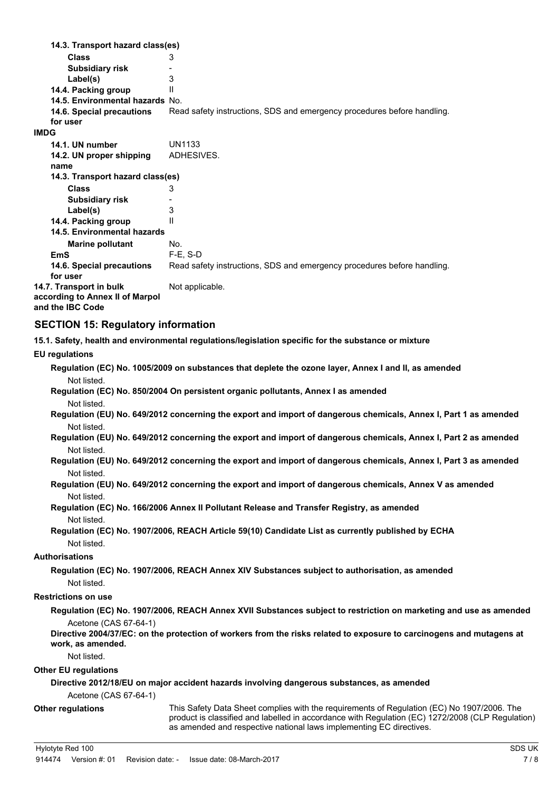**Class** 3 **14.3. Transport hazard class(es) Subsidiary risk Filter control control of the Second S** Label(s) 14.4. Packing group II **14.5. Environmental hazards** No. 14.6. Special precautions Read safety instructions, SDS and emergency procedures before handling. **for user IMDG 14.1. UN number** UN1133 **14.2. UN proper shipping** ADHESIVES. **name Class** 3 **14.3. Transport hazard class(es) Subsidiary risk** Fig. 2.1 abel(s) Label(s) **14.4. Packing group** II **Marine pollutant** No. **14.5. Environmental hazards EmS** F-E, S-D **14.6. Special precautions** Read safety instructions, SDS and emergency procedures before handling. **for user 14.7. Transport in bulk** Not applicable. **according to Annex II of Marpol and the IBC Code**

# **SECTION 15: Regulatory information**

**15.1. Safety, health and environmental regulations/legislation specific for the substance or mixture**

#### **EU regulations**

| Not listed.                 | Regulation (EC) No. 1005/2009 on substances that deplete the ozone layer, Annex I and II, as amended                                                                    |
|-----------------------------|-------------------------------------------------------------------------------------------------------------------------------------------------------------------------|
|                             | Regulation (EC) No. 850/2004 On persistent organic pollutants, Annex I as amended                                                                                       |
| Not listed.                 |                                                                                                                                                                         |
| Not listed.                 | Regulation (EU) No. 649/2012 concerning the export and import of dangerous chemicals, Annex I, Part 1 as amended                                                        |
|                             | Regulation (EU) No. 649/2012 concerning the export and import of dangerous chemicals, Annex I, Part 2 as amended                                                        |
| Not listed.                 |                                                                                                                                                                         |
| Not listed.                 | Regulation (EU) No. 649/2012 concerning the export and import of dangerous chemicals, Annex I, Part 3 as amended                                                        |
|                             | Regulation (EU) No. 649/2012 concerning the export and import of dangerous chemicals, Annex V as amended                                                                |
| Not listed.                 |                                                                                                                                                                         |
|                             | Regulation (EC) No. 166/2006 Annex II Pollutant Release and Transfer Registry, as amended                                                                               |
| Not listed.                 |                                                                                                                                                                         |
|                             | Regulation (EC) No. 1907/2006, REACH Article 59(10) Candidate List as currently published by ECHA                                                                       |
| Not listed.                 |                                                                                                                                                                         |
| Authorisations              |                                                                                                                                                                         |
|                             | Regulation (EC) No. 1907/2006, REACH Annex XIV Substances subject to authorisation, as amended                                                                          |
| Not listed.                 |                                                                                                                                                                         |
| <b>Restrictions on use</b>  |                                                                                                                                                                         |
|                             | Regulation (EC) No. 1907/2006, REACH Annex XVII Substances subject to restriction on marketing and use as amended                                                       |
| Acetone (CAS 67-64-1)       |                                                                                                                                                                         |
| work, as amended.           | Directive 2004/37/EC: on the protection of workers from the risks related to exposure to carcinogens and mutagens at                                                    |
| Not listed.                 |                                                                                                                                                                         |
| <b>Other EU regulations</b> |                                                                                                                                                                         |
|                             | Directive 2012/18/EU on major accident hazards involving dangerous substances, as amended                                                                               |
| Acetone (CAS 67-64-1)       |                                                                                                                                                                         |
| <b>Other regulations</b>    | This Safety Data Sheet complies with the requirements of Regulation (EC) No 1907/2006. The                                                                              |
|                             | product is classified and labelled in accordance with Regulation (EC) 1272/2008 (CLP Regulation)<br>as amended and respective national laws implementing EC directives. |
|                             |                                                                                                                                                                         |